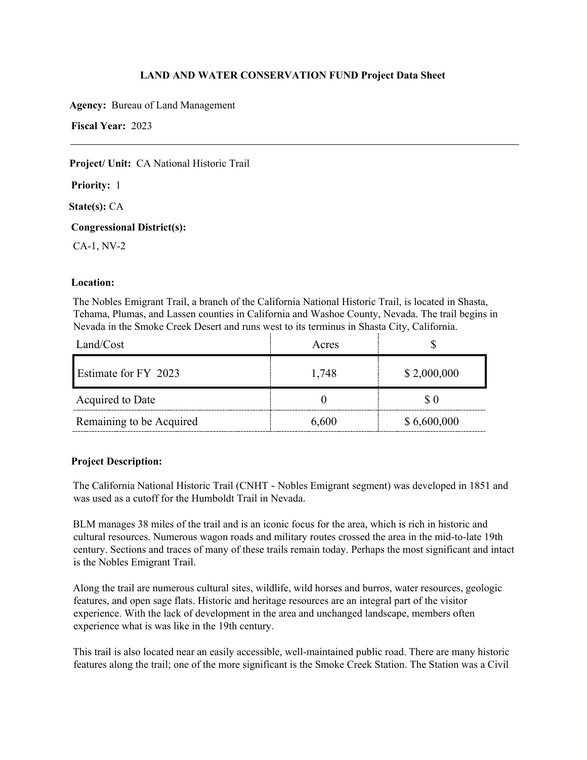**Agency:** Bureau of Land Management

**Fiscal Year:** 2023

# **Project/ Unit:** CA National Historic Trail

**Priority:** 1

**State(s):** CA

# **Congressional District(s):**

CA-1, NV-2

# **Location:**

The Nobles Emigrant Trail, a branch of the California National Historic Trail, is located in Shasta, Tehama, Plumas, and Lassen counties in California and Washoe County, Nevada. The trail begins in Nevada in the Smoke Creek Desert and runs west to its terminus in Shasta City, California.

| Land/Cost                | Acres |             |
|--------------------------|-------|-------------|
| Estimate for FY 2023     | 1,748 | \$2,000,000 |
| Acquired to Date         |       | \$0         |
| Remaining to be Acquired | 6,600 | \$6,600,000 |

# **Project Description:**

The California National Historic Trail (CNHT - Nobles Emigrant segment) was developed in 1851 and was used as a cutoff for the Humboldt Trail in Nevada.

BLM manages 38 miles of the trail and is an iconic focus for the area, which is rich in historic and cultural resources. Numerous wagon roads and military routes crossed the area in the mid-to-late 19th century. Sections and traces of many of these trails remain today. Perhaps the most significant and intact is the Nobles Emigrant Trail.

Along the trail are numerous cultural sites, wildlife, wild horses and burros, water resources, geologic features, and open sage flats. Historic and heritage resources are an integral part of the visitor experience. With the lack of development in the area and unchanged landscape, members often experience what is was like in the 19th century.

This trail is also located near an easily accessible, well-maintained public road. There are many historic features along the trail; one of the more significant is the Smoke Creek Station. The Station was a Civil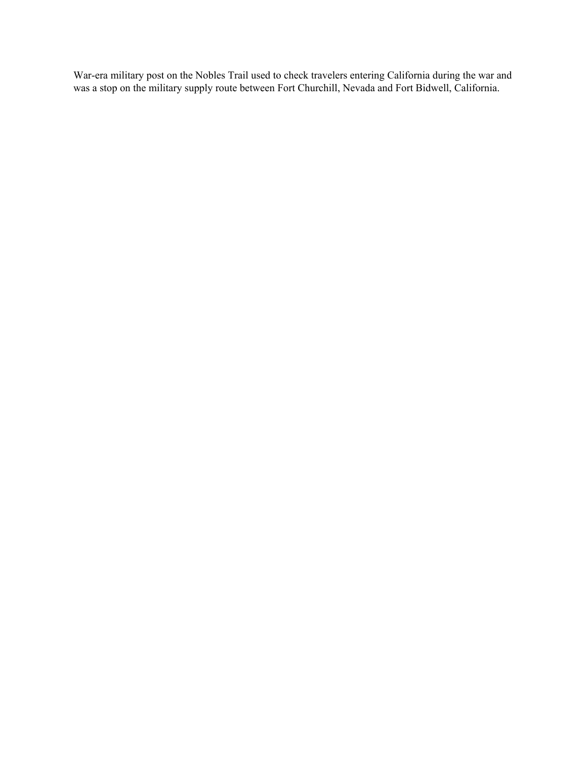War-era military post on the Nobles Trail used to check travelers entering California during the war and was a stop on the military supply route between Fort Churchill, Nevada and Fort Bidwell, California.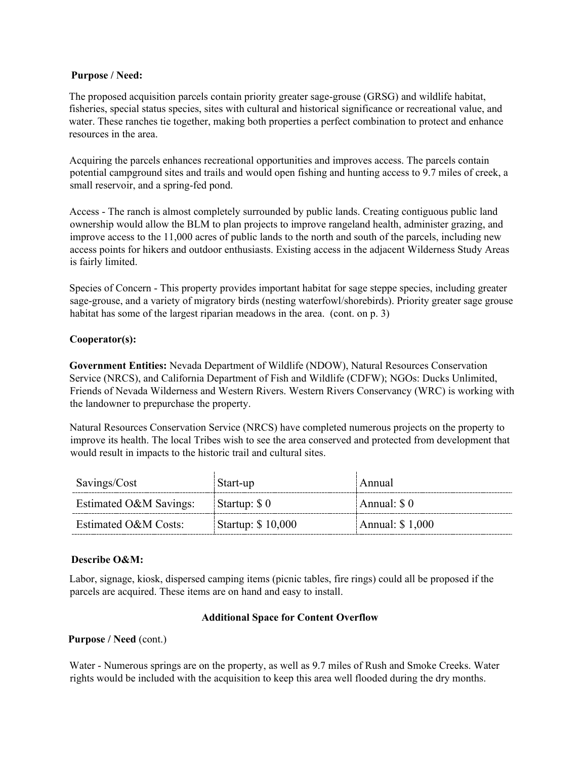### **Purpose / Need:**

The proposed acquisition parcels contain priority greater sage-grouse (GRSG) and wildlife habitat, fisheries, special status species, sites with cultural and historical significance or recreational value, and water. These ranches tie together, making both properties a perfect combination to protect and enhance resources in the area.

Acquiring the parcels enhances recreational opportunities and improves access. The parcels contain potential campground sites and trails and would open fishing and hunting access to 9.7 miles of creek, a small reservoir, and a spring-fed pond.

Access - The ranch is almost completely surrounded by public lands. Creating contiguous public land ownership would allow the BLM to plan projects to improve rangeland health, administer grazing, and improve access to the 11,000 acres of public lands to the north and south of the parcels, including new access points for hikers and outdoor enthusiasts. Existing access in the adjacent Wilderness Study Areas is fairly limited.

Species of Concern - This property provides important habitat for sage steppe species, including greater sage-grouse, and a variety of migratory birds (nesting waterfowl/shorebirds). Priority greater sage grouse habitat has some of the largest riparian meadows in the area. (cont. on p. 3)

# **Cooperator(s):**

**Government Entities:** Nevada Department of Wildlife (NDOW), Natural Resources Conservation Service (NRCS), and California Department of Fish and Wildlife (CDFW); NGOs: Ducks Unlimited, Friends of Nevada Wilderness and Western Rivers. Western Rivers Conservancy (WRC) is working with the landowner to prepurchase the property.

Natural Resources Conservation Service (NRCS) have completed numerous projects on the property to improve its health. The local Tribes wish to see the area conserved and protected from development that would result in impacts to the historic trail and cultural sites.

| Savings/Cost           | Start-up          | Annual           |
|------------------------|-------------------|------------------|
| Estimated O&M Savings: | Startup: \$0      | Annual: $\$0$    |
| Estimated O&M Costs:   | Startup: \$10,000 | Annual: $$1,000$ |

### **Describe O&M:**

Labor, signage, kiosk, dispersed camping items (picnic tables, fire rings) could all be proposed if the parcels are acquired. These items are on hand and easy to install.

### **Additional Space for Content Overflow**

### **Purpose / Need** (cont.)

Water - Numerous springs are on the property, as well as 9.7 miles of Rush and Smoke Creeks. Water rights would be included with the acquisition to keep this area well flooded during the dry months.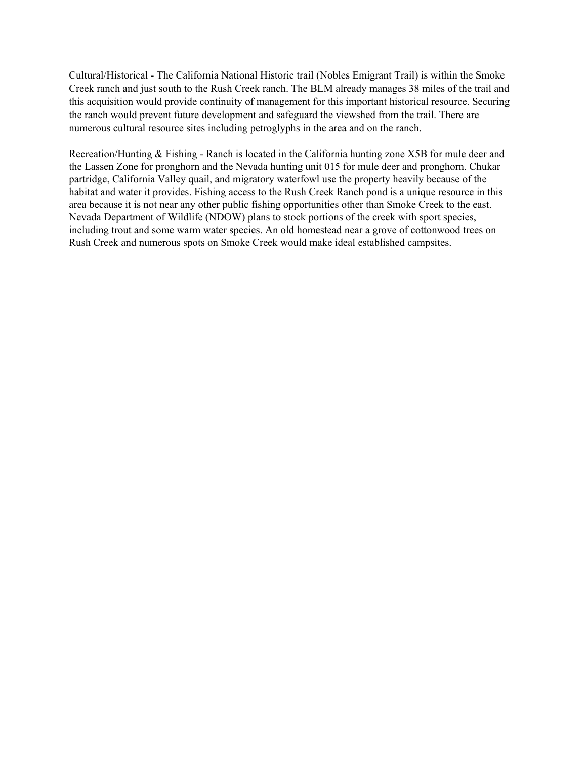Cultural/Historical - The California National Historic trail (Nobles Emigrant Trail) is within the Smoke Creek ranch and just south to the Rush Creek ranch. The BLM already manages 38 miles of the trail and this acquisition would provide continuity of management for this important historical resource. Securing the ranch would prevent future development and safeguard the viewshed from the trail. There are numerous cultural resource sites including petroglyphs in the area and on the ranch.

Recreation/Hunting & Fishing - Ranch is located in the California hunting zone X5B for mule deer and the Lassen Zone for pronghorn and the Nevada hunting unit 015 for mule deer and pronghorn. Chukar partridge, California Valley quail, and migratory waterfowl use the property heavily because of the habitat and water it provides. Fishing access to the Rush Creek Ranch pond is a unique resource in this area because it is not near any other public fishing opportunities other than Smoke Creek to the east. Nevada Department of Wildlife (NDOW) plans to stock portions of the creek with sport species, including trout and some warm water species. An old homestead near a grove of cottonwood trees on Rush Creek and numerous spots on Smoke Creek would make ideal established campsites.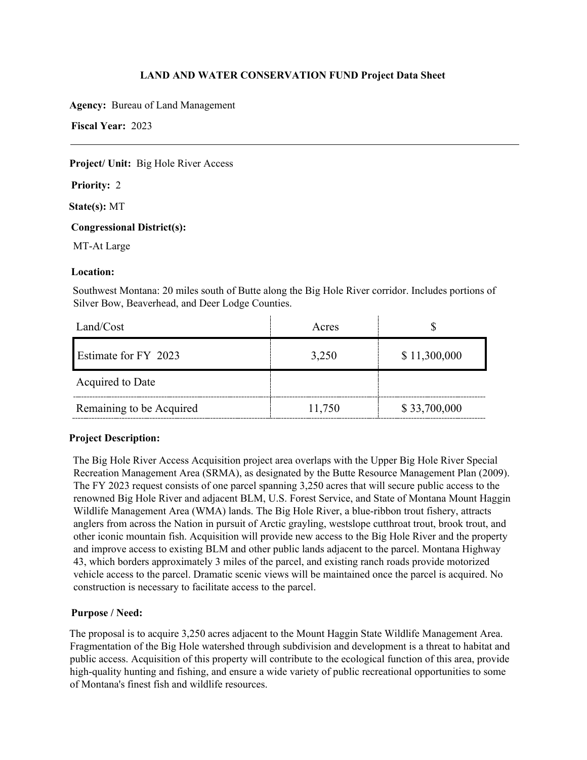**Agency:** Bureau of Land Management

**Fiscal Year:** 2023

# **Project/ Unit:** Big Hole River Access

**Priority:** 2

**State(s):** MT

# **Congressional District(s):**

MT-At Large

# **Location:**

Southwest Montana: 20 miles south of Butte along the Big Hole River corridor. Includes portions of Silver Bow, Beaverhead, and Deer Lodge Counties.

| Land/Cost                | Acres  |              |
|--------------------------|--------|--------------|
| Estimate for FY 2023     | 3,250  | \$11,300,000 |
| Acquired to Date         |        |              |
| Remaining to be Acquired | 11,750 | \$33,700,000 |

# **Project Description:**

The Big Hole River Access Acquisition project area overlaps with the Upper Big Hole River Special Recreation Management Area (SRMA), as designated by the Butte Resource Management Plan (2009). The FY 2023 request consists of one parcel spanning 3,250 acres that will secure public access to the renowned Big Hole River and adjacent BLM, U.S. Forest Service, and State of Montana Mount Haggin Wildlife Management Area (WMA) lands. The Big Hole River, a blue-ribbon trout fishery, attracts anglers from across the Nation in pursuit of Arctic grayling, westslope cutthroat trout, brook trout, and other iconic mountain fish. Acquisition will provide new access to the Big Hole River and the property and improve access to existing BLM and other public lands adjacent to the parcel. Montana Highway 43, which borders approximately 3 miles of the parcel, and existing ranch roads provide motorized vehicle access to the parcel. Dramatic scenic views will be maintained once the parcel is acquired. No construction is necessary to facilitate access to the parcel.

# **Purpose / Need:**

The proposal is to acquire 3,250 acres adjacent to the Mount Haggin State Wildlife Management Area. Fragmentation of the Big Hole watershed through subdivision and development is a threat to habitat and public access. Acquisition of this property will contribute to the ecological function of this area, provide high-quality hunting and fishing, and ensure a wide variety of public recreational opportunities to some of Montana's finest fish and wildlife resources.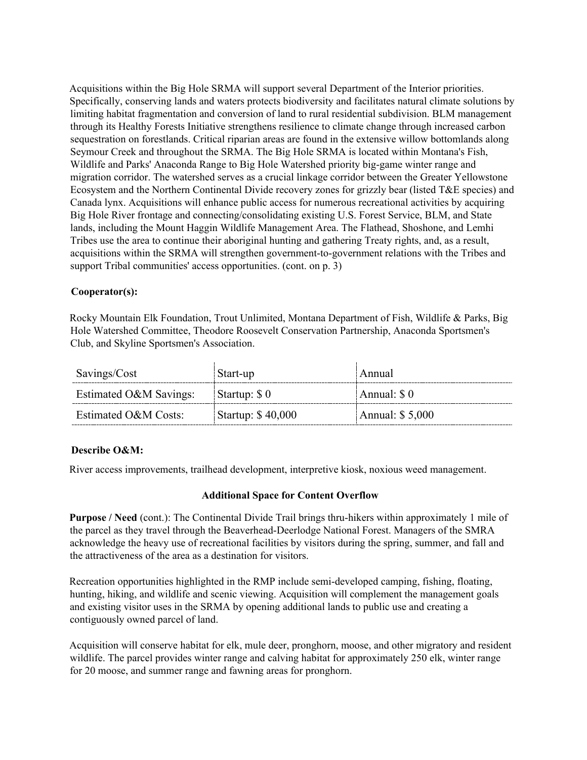Acquisitions within the Big Hole SRMA will support several Department of the Interior priorities. Specifically, conserving lands and waters protects biodiversity and facilitates natural climate solutions by limiting habitat fragmentation and conversion of land to rural residential subdivision. BLM management through its Healthy Forests Initiative strengthens resilience to climate change through increased carbon sequestration on forestlands. Critical riparian areas are found in the extensive willow bottomlands along Seymour Creek and throughout the SRMA. The Big Hole SRMA is located within Montana's Fish, Wildlife and Parks' Anaconda Range to Big Hole Watershed priority big-game winter range and migration corridor. The watershed serves as a crucial linkage corridor between the Greater Yellowstone Ecosystem and the Northern Continental Divide recovery zones for grizzly bear (listed T&E species) and Canada lynx. Acquisitions will enhance public access for numerous recreational activities by acquiring Big Hole River frontage and connecting/consolidating existing U.S. Forest Service, BLM, and State lands, including the Mount Haggin Wildlife Management Area. The Flathead, Shoshone, and Lemhi Tribes use the area to continue their aboriginal hunting and gathering Treaty rights, and, as a result, acquisitions within the SRMA will strengthen government-to-government relations with the Tribes and support Tribal communities' access opportunities. (cont. on p. 3)

# **Cooperator(s):**

Rocky Mountain Elk Foundation, Trout Unlimited, Montana Department of Fish, Wildlife & Parks, Big Hole Watershed Committee, Theodore Roosevelt Conservation Partnership, Anaconda Sportsmen's Club, and Skyline Sportsmen's Association.

| Savings/Cost           | Start-up          | Annual           |
|------------------------|-------------------|------------------|
| Estimated O&M Savings: | Startup: \$0      | Annual: $\$0$    |
| Estimated O&M Costs:   | Startup: \$40,000 | Annual: $$5,000$ |

### **Describe O&M:**

River access improvements, trailhead development, interpretive kiosk, noxious weed management.

### **Additional Space for Content Overflow**

**Purpose / Need** (cont.): The Continental Divide Trail brings thru-hikers within approximately 1 mile of the parcel as they travel through the Beaverhead-Deerlodge National Forest. Managers of the SMRA acknowledge the heavy use of recreational facilities by visitors during the spring, summer, and fall and the attractiveness of the area as a destination for visitors.

Recreation opportunities highlighted in the RMP include semi-developed camping, fishing, floating, hunting, hiking, and wildlife and scenic viewing. Acquisition will complement the management goals and existing visitor uses in the SRMA by opening additional lands to public use and creating a contiguously owned parcel of land.

Acquisition will conserve habitat for elk, mule deer, pronghorn, moose, and other migratory and resident wildlife. The parcel provides winter range and calving habitat for approximately 250 elk, winter range for 20 moose, and summer range and fawning areas for pronghorn.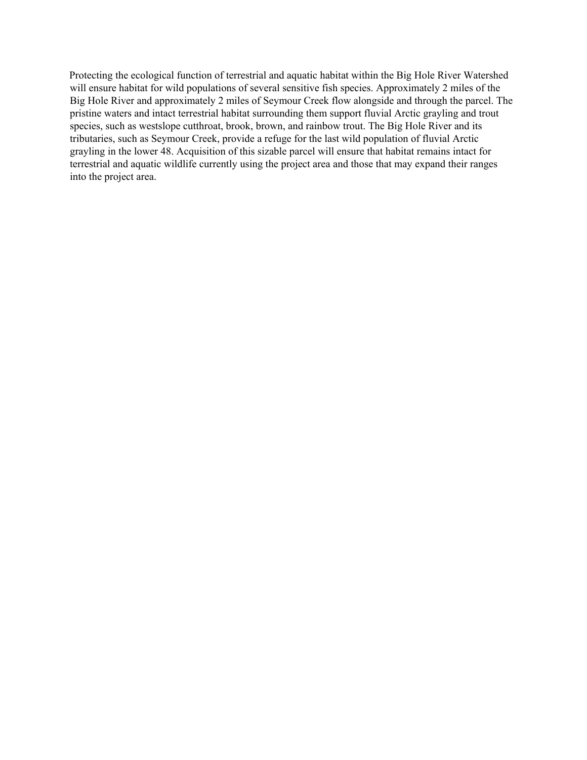Protecting the ecological function of terrestrial and aquatic habitat within the Big Hole River Watershed will ensure habitat for wild populations of several sensitive fish species. Approximately 2 miles of the Big Hole River and approximately 2 miles of Seymour Creek flow alongside and through the parcel. The pristine waters and intact terrestrial habitat surrounding them support fluvial Arctic grayling and trout species, such as westslope cutthroat, brook, brown, and rainbow trout. The Big Hole River and its tributaries, such as Seymour Creek, provide a refuge for the last wild population of fluvial Arctic grayling in the lower 48. Acquisition of this sizable parcel will ensure that habitat remains intact for terrestrial and aquatic wildlife currently using the project area and those that may expand their ranges into the project area.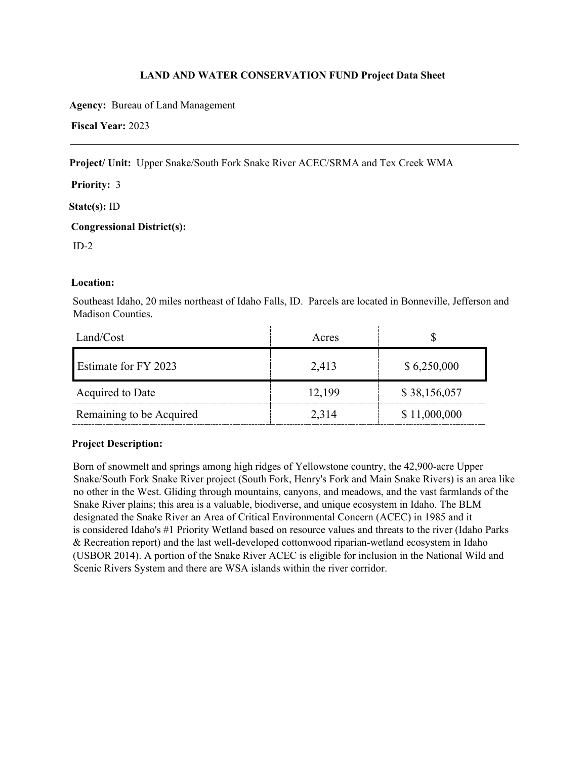**Agency:** Bureau of Land Management

**Fiscal Year:** 2023

**Project/ Unit:** Upper Snake/South Fork Snake River ACEC/SRMA and Tex Creek WMA

**Priority:** 3

**State(s):** ID

**Congressional District(s):** 

 $ID-2$ 

# **Location:**

Southeast Idaho, 20 miles northeast of Idaho Falls, ID. Parcels are located in Bonneville, Jefferson and Madison Counties.

| Land/Cost                | Acres  |              |
|--------------------------|--------|--------------|
| Estimate for FY 2023     | 2,413  | \$6,250,000  |
| Acquired to Date         | 12,199 | \$38,156,057 |
| Remaining to be Acquired | 2,314  | \$11,000,000 |

# **Project Description:**

Born of snowmelt and springs among high ridges of Yellowstone country, the 42,900-acre Upper Snake/South Fork Snake River project (South Fork, Henry's Fork and Main Snake Rivers) is an area like no other in the West. Gliding through mountains, canyons, and meadows, and the vast farmlands of the Snake River plains; this area is a valuable, biodiverse, and unique ecosystem in Idaho. The BLM designated the Snake River an Area of Critical Environmental Concern (ACEC) in 1985 and it is considered Idaho's #1 Priority Wetland based on resource values and threats to the river (Idaho Parks & Recreation report) and the last well-developed cottonwood riparian-wetland ecosystem in Idaho (USBOR 2014). A portion of the Snake River ACEC is eligible for inclusion in the National Wild and Scenic Rivers System and there are WSA islands within the river corridor.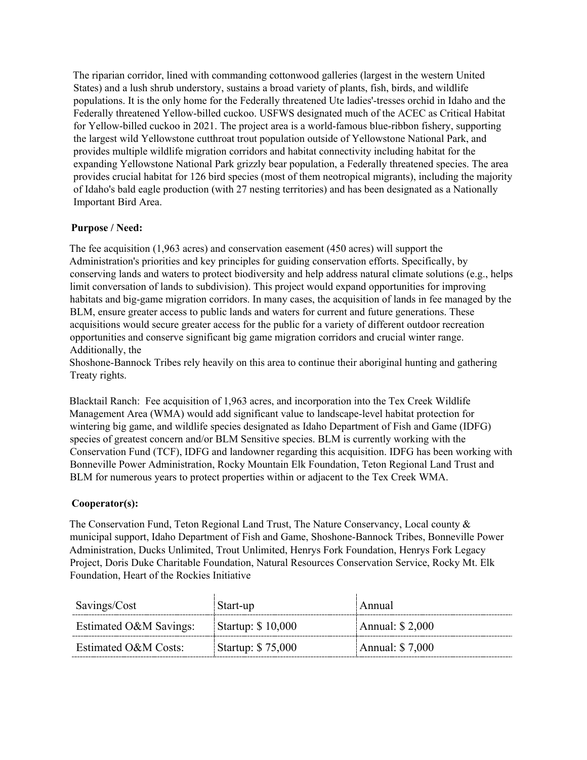The riparian corridor, lined with commanding cottonwood galleries (largest in the western United States) and a lush shrub understory, sustains a broad variety of plants, fish, birds, and wildlife populations. It is the only home for the Federally threatened Ute ladies'-tresses orchid in Idaho and the Federally threatened Yellow-billed cuckoo. USFWS designated much of the ACEC as Critical Habitat for Yellow-billed cuckoo in 2021. The project area is a world-famous blue-ribbon fishery, supporting the largest wild Yellowstone cutthroat trout population outside of Yellowstone National Park, and provides multiple wildlife migration corridors and habitat connectivity including habitat for the expanding Yellowstone National Park grizzly bear population, a Federally threatened species. The area provides crucial habitat for 126 bird species (most of them neotropical migrants), including the majority of Idaho's bald eagle production (with 27 nesting territories) and has been designated as a Nationally Important Bird Area.

# **Purpose / Need:**

The fee acquisition (1,963 acres) and conservation easement (450 acres) will support the Administration's priorities and key principles for guiding conservation efforts. Specifically, by conserving lands and waters to protect biodiversity and help address natural climate solutions (e.g., helps limit conversation of lands to subdivision). This project would expand opportunities for improving habitats and big-game migration corridors. In many cases, the acquisition of lands in fee managed by the BLM, ensure greater access to public lands and waters for current and future generations. These acquisitions would secure greater access for the public for a variety of different outdoor recreation opportunities and conserve significant big game migration corridors and crucial winter range. Additionally, the

Shoshone-Bannock Tribes rely heavily on this area to continue their aboriginal hunting and gathering Treaty rights.

Blacktail Ranch: Fee acquisition of 1,963 acres, and incorporation into the Tex Creek Wildlife Management Area (WMA) would add significant value to landscape-level habitat protection for wintering big game, and wildlife species designated as Idaho Department of Fish and Game (IDFG) species of greatest concern and/or BLM Sensitive species. BLM is currently working with the Conservation Fund (TCF), IDFG and landowner regarding this acquisition. IDFG has been working with Bonneville Power Administration, Rocky Mountain Elk Foundation, Teton Regional Land Trust and BLM for numerous years to protect properties within or adjacent to the Tex Creek WMA.

### **Cooperator(s):**

The Conservation Fund, Teton Regional Land Trust, The Nature Conservancy, Local county & municipal support, Idaho Department of Fish and Game, Shoshone-Bannock Tribes, Bonneville Power Administration, Ducks Unlimited, Trout Unlimited, Henrys Fork Foundation, Henrys Fork Legacy Project, Doris Duke Charitable Foundation, Natural Resources Conservation Service, Rocky Mt. Elk Foundation, Heart of the Rockies Initiative

| Savings/Cost           | Start-up          | Annual           |
|------------------------|-------------------|------------------|
| Estimated O&M Savings: | Startup: \$10,000 | Annual: $$2,000$ |
| Estimated O&M Costs:   | Startup: \$75,000 | Annual: \$7,000  |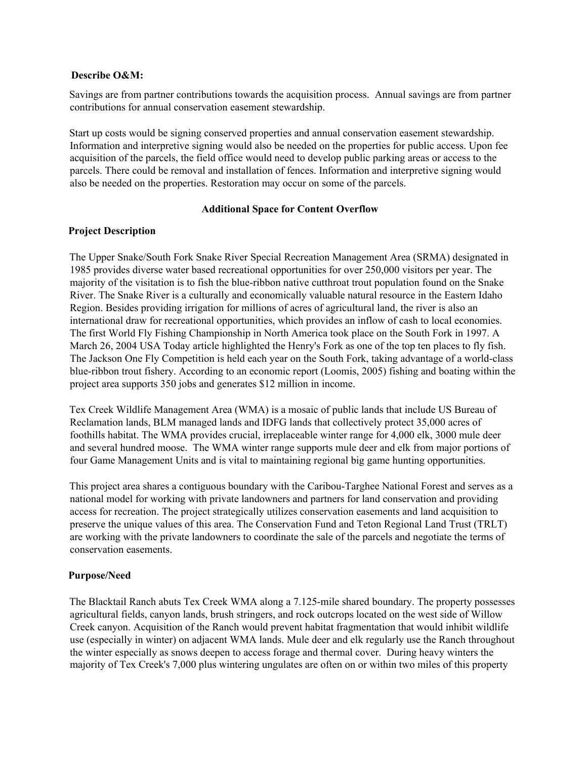#### **Describe O&M:**

Savings are from partner contributions towards the acquisition process. Annual savings are from partner contributions for annual conservation easement stewardship.

Start up costs would be signing conserved properties and annual conservation easement stewardship. Information and interpretive signing would also be needed on the properties for public access. Upon fee acquisition of the parcels, the field office would need to develop public parking areas or access to the parcels. There could be removal and installation of fences. Information and interpretive signing would also be needed on the properties. Restoration may occur on some of the parcels.

### **Additional Space for Content Overflow**

# **Project Description**

The Upper Snake/South Fork Snake River Special Recreation Management Area (SRMA) designated in 1985 provides diverse water based recreational opportunities for over 250,000 visitors per year. The majority of the visitation is to fish the blue-ribbon native cutthroat trout population found on the Snake River. The Snake River is a culturally and economically valuable natural resource in the Eastern Idaho Region. Besides providing irrigation for millions of acres of agricultural land, the river is also an international draw for recreational opportunities, which provides an inflow of cash to local economies. The first World Fly Fishing Championship in North America took place on the South Fork in 1997. A March 26, 2004 USA Today article highlighted the Henry's Fork as one of the top ten places to fly fish. The Jackson One Fly Competition is held each year on the South Fork, taking advantage of a world-class blue-ribbon trout fishery. According to an economic report (Loomis, 2005) fishing and boating within the project area supports 350 jobs and generates \$12 million in income.

Tex Creek Wildlife Management Area (WMA) is a mosaic of public lands that include US Bureau of Reclamation lands, BLM managed lands and IDFG lands that collectively protect 35,000 acres of foothills habitat. The WMA provides crucial, irreplaceable winter range for 4,000 elk, 3000 mule deer and several hundred moose. The WMA winter range supports mule deer and elk from major portions of four Game Management Units and is vital to maintaining regional big game hunting opportunities.

This project area shares a contiguous boundary with the Caribou-Targhee National Forest and serves as a national model for working with private landowners and partners for land conservation and providing access for recreation. The project strategically utilizes conservation easements and land acquisition to preserve the unique values of this area. The Conservation Fund and Teton Regional Land Trust (TRLT) are working with the private landowners to coordinate the sale of the parcels and negotiate the terms of conservation easements.

# **Purpose/Need**

The Blacktail Ranch abuts Tex Creek WMA along a 7.125-mile shared boundary. The property possesses agricultural fields, canyon lands, brush stringers, and rock outcrops located on the west side of Willow Creek canyon. Acquisition of the Ranch would prevent habitat fragmentation that would inhibit wildlife use (especially in winter) on adjacent WMA lands. Mule deer and elk regularly use the Ranch throughout the winter especially as snows deepen to access forage and thermal cover. During heavy winters the majority of Tex Creek's 7,000 plus wintering ungulates are often on or within two miles of this property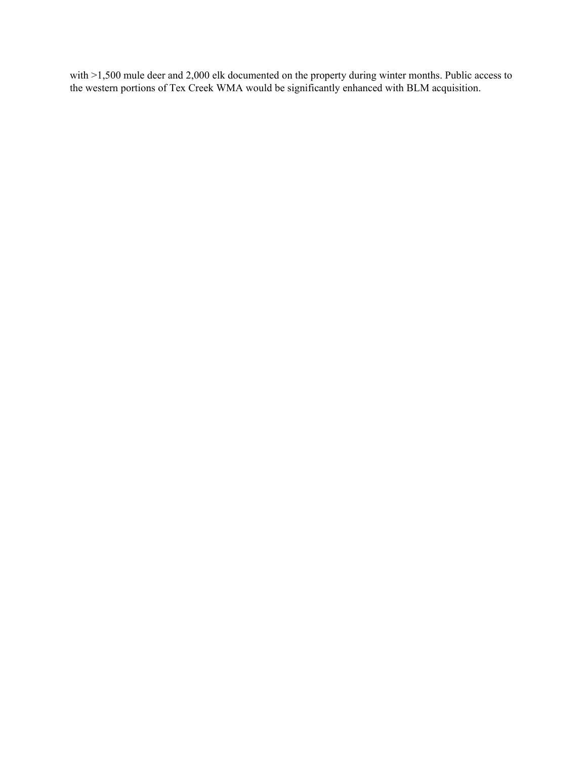with >1,500 mule deer and 2,000 elk documented on the property during winter months. Public access to the western portions of Tex Creek WMA would be significantly enhanced with BLM acquisition.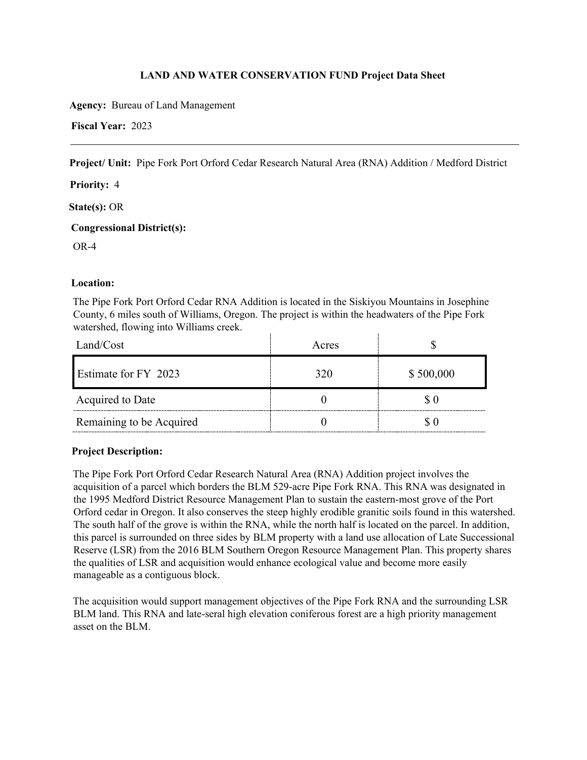**Agency:** Bureau of Land Management

**Fiscal Year:** 2023

**Project/ Unit:** Pipe Fork Port Orford Cedar Research Natural Area (RNA) Addition / Medford District

**Priority:** 4

**State(s):** OR

**Congressional District(s):** 

OR-4

# **Location:**

The Pipe Fork Port Orford Cedar RNA Addition is located in the Siskiyou Mountains in Josephine County, 6 miles south of Williams, Oregon. The project is within the headwaters of the Pipe Fork watershed, flowing into Williams creek.

| Land/Cost                | Acres |           |
|--------------------------|-------|-----------|
| Estimate for FY 2023     | 320   | \$500,000 |
| Acquired to Date         |       |           |
| Remaining to be Acquired |       |           |

### **Project Description:**

The Pipe Fork Port Orford Cedar Research Natural Area (RNA) Addition project involves the acquisition of a parcel which borders the BLM 529-acre Pipe Fork RNA. This RNA was designated in the 1995 Medford District Resource Management Plan to sustain the eastern-most grove of the Port Orford cedar in Oregon. It also conserves the steep highly erodible granitic soils found in this watershed. The south half of the grove is within the RNA, while the north half is located on the parcel. In addition, this parcel is surrounded on three sides by BLM property with a land use allocation of Late Successional Reserve (LSR) from the 2016 BLM Southern Oregon Resource Management Plan. This property shares the qualities of LSR and acquisition would enhance ecological value and become more easily manageable as a contiguous block.

The acquisition would support management objectives of the Pipe Fork RNA and the surrounding LSR BLM land. This RNA and late-seral high elevation coniferous forest are a high priority management asset on the BLM.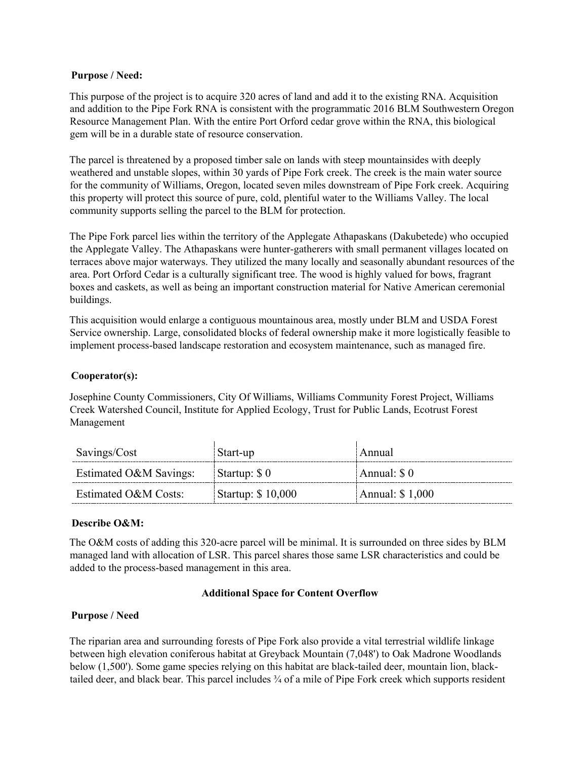### **Purpose / Need:**

This purpose of the project is to acquire 320 acres of land and add it to the existing RNA. Acquisition and addition to the Pipe Fork RNA is consistent with the programmatic 2016 BLM Southwestern Oregon Resource Management Plan. With the entire Port Orford cedar grove within the RNA, this biological gem will be in a durable state of resource conservation.

The parcel is threatened by a proposed timber sale on lands with steep mountainsides with deeply weathered and unstable slopes, within 30 yards of Pipe Fork creek. The creek is the main water source for the community of Williams, Oregon, located seven miles downstream of Pipe Fork creek. Acquiring this property will protect this source of pure, cold, plentiful water to the Williams Valley. The local community supports selling the parcel to the BLM for protection.

The Pipe Fork parcel lies within the territory of the Applegate Athapaskans (Dakubetede) who occupied the Applegate Valley. The Athapaskans were hunter-gatherers with small permanent villages located on terraces above major waterways. They utilized the many locally and seasonally abundant resources of the area. Port Orford Cedar is a culturally significant tree. The wood is highly valued for bows, fragrant boxes and caskets, as well as being an important construction material for Native American ceremonial buildings.

This acquisition would enlarge a contiguous mountainous area, mostly under BLM and USDA Forest Service ownership. Large, consolidated blocks of federal ownership make it more logistically feasible to implement process-based landscape restoration and ecosystem maintenance, such as managed fire.

#### **Cooperator(s):**

Josephine County Commissioners, City Of Williams, Williams Community Forest Project, Williams Creek Watershed Council, Institute for Applied Ecology, Trust for Public Lands, Ecotrust Forest Management

| Savings/Cost           | Start-up          | Annual          |
|------------------------|-------------------|-----------------|
| Estimated O&M Savings: | Startup: \$0      | Annual: $\$0$   |
| Estimated O&M Costs:   | Startup: \$10,000 | Annual: \$1,000 |

### **Describe O&M:**

The O&M costs of adding this 320-acre parcel will be minimal. It is surrounded on three sides by BLM managed land with allocation of LSR. This parcel shares those same LSR characteristics and could be added to the process-based management in this area.

#### **Additional Space for Content Overflow**

### **Purpose / Need**

The riparian area and surrounding forests of Pipe Fork also provide a vital terrestrial wildlife linkage between high elevation coniferous habitat at Greyback Mountain (7,048') to Oak Madrone Woodlands below (1,500'). Some game species relying on this habitat are black-tailed deer, mountain lion, blacktailed deer, and black bear. This parcel includes ¾ of a mile of Pipe Fork creek which supports resident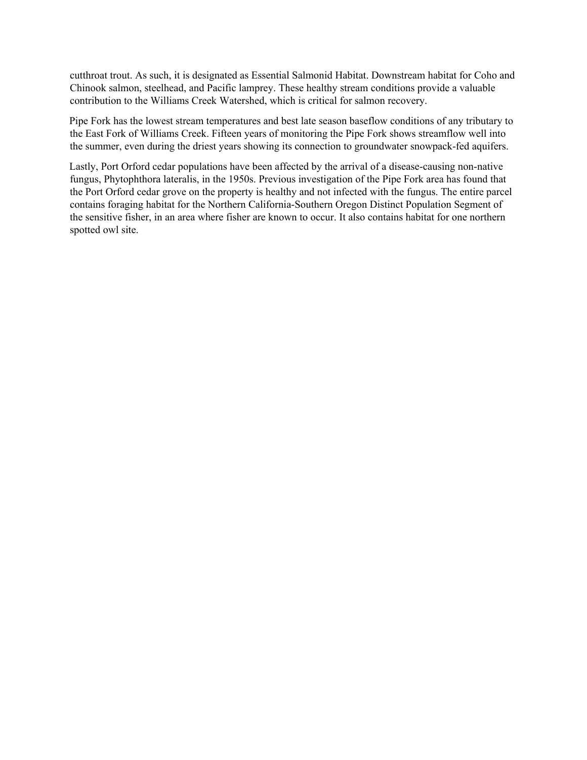cutthroat trout. As such, it is designated as Essential Salmonid Habitat. Downstream habitat for Coho and Chinook salmon, steelhead, and Pacific lamprey. These healthy stream conditions provide a valuable contribution to the Williams Creek Watershed, which is critical for salmon recovery.

Pipe Fork has the lowest stream temperatures and best late season baseflow conditions of any tributary to the East Fork of Williams Creek. Fifteen years of monitoring the Pipe Fork shows streamflow well into the summer, even during the driest years showing its connection to groundwater snowpack-fed aquifers.

Lastly, Port Orford cedar populations have been affected by the arrival of a disease-causing non-native fungus, Phytophthora lateralis, in the 1950s. Previous investigation of the Pipe Fork area has found that the Port Orford cedar grove on the property is healthy and not infected with the fungus. The entire parcel contains foraging habitat for the Northern California-Southern Oregon Distinct Population Segment of the sensitive fisher, in an area where fisher are known to occur. It also contains habitat for one northern spotted owl site.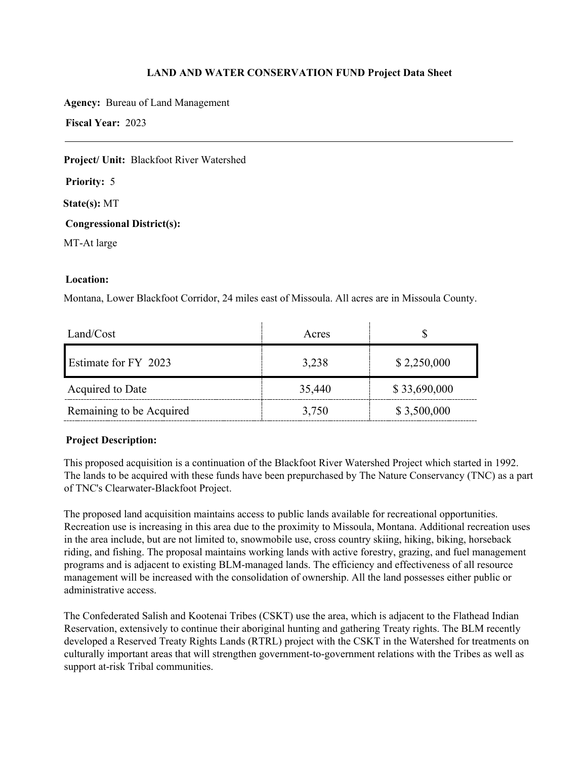**Agency:** Bureau of Land Management

**Fiscal Year:** 2023

**Project/ Unit:** Blackfoot River Watershed

**Priority:** 5

**State(s):** MT

**Congressional District(s):** 

MT-At large

# **Location:**

Montana, Lower Blackfoot Corridor, 24 miles east of Missoula. All acres are in Missoula County.

| Land/Cost                | Acres  |              |
|--------------------------|--------|--------------|
| Estimate for FY 2023     | 3,238  | \$2,250,000  |
| Acquired to Date         | 35,440 | \$33,690,000 |
| Remaining to be Acquired | 3,750  | \$3,500,000  |

### **Project Description:**

This proposed acquisition is a continuation of the Blackfoot River Watershed Project which started in 1992. The lands to be acquired with these funds have been prepurchased by The Nature Conservancy (TNC) as a part of TNC's Clearwater-Blackfoot Project.

The proposed land acquisition maintains access to public lands available for recreational opportunities. Recreation use is increasing in this area due to the proximity to Missoula, Montana. Additional recreation uses in the area include, but are not limited to, snowmobile use, cross country skiing, hiking, biking, horseback riding, and fishing. The proposal maintains working lands with active forestry, grazing, and fuel management programs and is adjacent to existing BLM-managed lands. The efficiency and effectiveness of all resource management will be increased with the consolidation of ownership. All the land possesses either public or administrative access.

The Confederated Salish and Kootenai Tribes (CSKT) use the area, which is adjacent to the Flathead Indian Reservation, extensively to continue their aboriginal hunting and gathering Treaty rights. The BLM recently developed a Reserved Treaty Rights Lands (RTRL) project with the CSKT in the Watershed for treatments on culturally important areas that will strengthen government-to-government relations with the Tribes as well as support at-risk Tribal communities.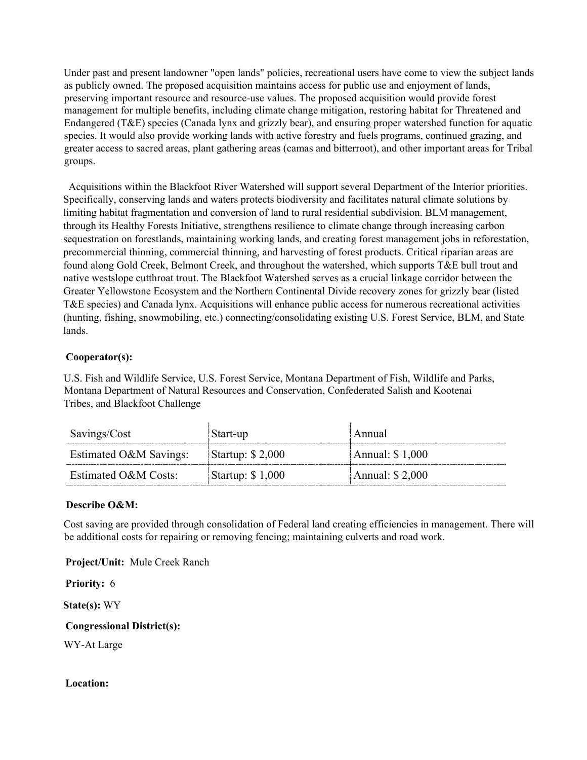Under past and present landowner "open lands" policies, recreational users have come to view the subject lands as publicly owned. The proposed acquisition maintains access for public use and enjoyment of lands, preserving important resource and resource-use values. The proposed acquisition would provide forest management for multiple benefits, including climate change mitigation, restoring habitat for Threatened and Endangered (T&E) species (Canada lynx and grizzly bear), and ensuring proper watershed function for aquatic species. It would also provide working lands with active forestry and fuels programs, continued grazing, and greater access to sacred areas, plant gathering areas (camas and bitterroot), and other important areas for Tribal groups.

 Acquisitions within the Blackfoot River Watershed will support several Department of the Interior priorities. Specifically, conserving lands and waters protects biodiversity and facilitates natural climate solutions by limiting habitat fragmentation and conversion of land to rural residential subdivision. BLM management, through its Healthy Forests Initiative, strengthens resilience to climate change through increasing carbon sequestration on forestlands, maintaining working lands, and creating forest management jobs in reforestation, precommercial thinning, commercial thinning, and harvesting of forest products. Critical riparian areas are found along Gold Creek, Belmont Creek, and throughout the watershed, which supports T&E bull trout and native westslope cutthroat trout. The Blackfoot Watershed serves as a crucial linkage corridor between the Greater Yellowstone Ecosystem and the Northern Continental Divide recovery zones for grizzly bear (listed T&E species) and Canada lynx. Acquisitions will enhance public access for numerous recreational activities (hunting, fishing, snowmobiling, etc.) connecting/consolidating existing U.S. Forest Service, BLM, and State lands.

# **Cooperator(s):**

U.S. Fish and Wildlife Service, U.S. Forest Service, Montana Department of Fish, Wildlife and Parks, Montana Department of Natural Resources and Conservation, Confederated Salish and Kootenai Tribes, and Blackfoot Challenge

| Savings/Cost           | Start-up          | Annual           |
|------------------------|-------------------|------------------|
| Estimated O&M Savings: | Startup: $$2,000$ | Annual: $$1,000$ |
| Estimated O&M Costs:   | Startup: $$1,000$ | Annual: $$2,000$ |

### **Describe O&M:**

Cost saving are provided through consolidation of Federal land creating efficiencies in management. There will be additional costs for repairing or removing fencing; maintaining culverts and road work.

**Project/Unit:** Mule Creek Ranch

**Priority:** 6

**State(s):** WY

**Congressional District(s):** 

WY-At Large

### **Location:**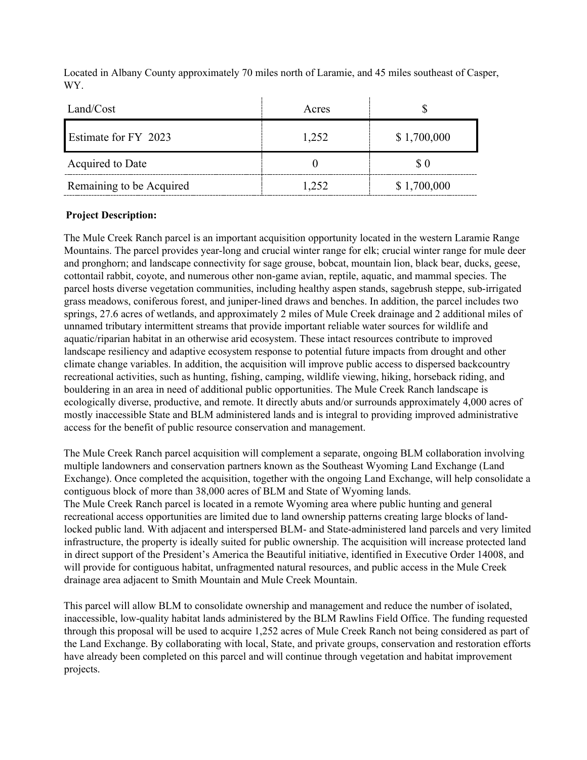| Land/Cost                | Acres |             |
|--------------------------|-------|-------------|
| Estimate for FY 2023     | 1,252 | \$1,700,000 |
| Acquired to Date         |       | \$0         |
| Remaining to be Acquired | 1,252 | \$1,700,000 |

Located in Albany County approximately 70 miles north of Laramie, and 45 miles southeast of Casper, WY.

# **Project Description:**

The Mule Creek Ranch parcel is an important acquisition opportunity located in the western Laramie Range Mountains. The parcel provides year-long and crucial winter range for elk; crucial winter range for mule deer and pronghorn; and landscape connectivity for sage grouse, bobcat, mountain lion, black bear, ducks, geese, cottontail rabbit, coyote, and numerous other non-game avian, reptile, aquatic, and mammal species. The parcel hosts diverse vegetation communities, including healthy aspen stands, sagebrush steppe, sub-irrigated grass meadows, coniferous forest, and juniper-lined draws and benches. In addition, the parcel includes two springs, 27.6 acres of wetlands, and approximately 2 miles of Mule Creek drainage and 2 additional miles of unnamed tributary intermittent streams that provide important reliable water sources for wildlife and aquatic/riparian habitat in an otherwise arid ecosystem. These intact resources contribute to improved landscape resiliency and adaptive ecosystem response to potential future impacts from drought and other climate change variables. In addition, the acquisition will improve public access to dispersed backcountry recreational activities, such as hunting, fishing, camping, wildlife viewing, hiking, horseback riding, and bouldering in an area in need of additional public opportunities. The Mule Creek Ranch landscape is ecologically diverse, productive, and remote. It directly abuts and/or surrounds approximately 4,000 acres of mostly inaccessible State and BLM administered lands and is integral to providing improved administrative access for the benefit of public resource conservation and management.

The Mule Creek Ranch parcel acquisition will complement a separate, ongoing BLM collaboration involving multiple landowners and conservation partners known as the Southeast Wyoming Land Exchange (Land Exchange). Once completed the acquisition, together with the ongoing Land Exchange, will help consolidate a contiguous block of more than 38,000 acres of BLM and State of Wyoming lands. The Mule Creek Ranch parcel is located in a remote Wyoming area where public hunting and general recreational access opportunities are limited due to land ownership patterns creating large blocks of landlocked public land. With adjacent and interspersed BLM- and State-administered land parcels and very limited infrastructure, the property is ideally suited for public ownership. The acquisition will increase protected land in direct support of the President's America the Beautiful initiative, identified in Executive Order 14008, and will provide for contiguous habitat, unfragmented natural resources, and public access in the Mule Creek drainage area adjacent to Smith Mountain and Mule Creek Mountain.

This parcel will allow BLM to consolidate ownership and management and reduce the number of isolated, inaccessible, low-quality habitat lands administered by the BLM Rawlins Field Office. The funding requested through this proposal will be used to acquire 1,252 acres of Mule Creek Ranch not being considered as part of the Land Exchange. By collaborating with local, State, and private groups, conservation and restoration efforts have already been completed on this parcel and will continue through vegetation and habitat improvement projects.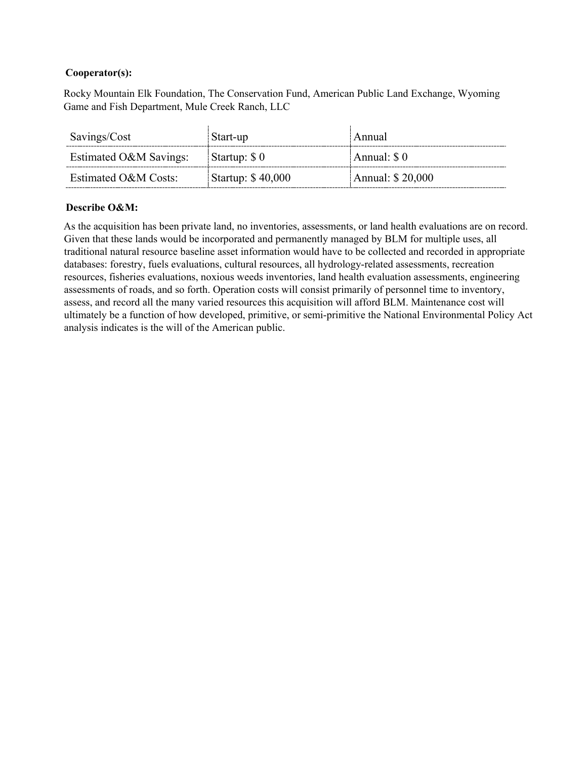### **Cooperator(s):**

Rocky Mountain Elk Foundation, The Conservation Fund, American Public Land Exchange, Wyoming Game and Fish Department, Mule Creek Ranch, LLC

| Savings/Cost           | Start-up          | Annual           |
|------------------------|-------------------|------------------|
| Estimated O&M Savings: | Startup: $\$ 0$   | Annual: \$0      |
| Estimated O&M Costs:   | Startup: \$40,000 | Annual: \$20,000 |

### **Describe O&M:**

As the acquisition has been private land, no inventories, assessments, or land health evaluations are on record. Given that these lands would be incorporated and permanently managed by BLM for multiple uses, all traditional natural resource baseline asset information would have to be collected and recorded in appropriate databases: forestry, fuels evaluations, cultural resources, all hydrology-related assessments, recreation resources, fisheries evaluations, noxious weeds inventories, land health evaluation assessments, engineering assessments of roads, and so forth. Operation costs will consist primarily of personnel time to inventory, assess, and record all the many varied resources this acquisition will afford BLM. Maintenance cost will ultimately be a function of how developed, primitive, or semi-primitive the National Environmental Policy Act analysis indicates is the will of the American public.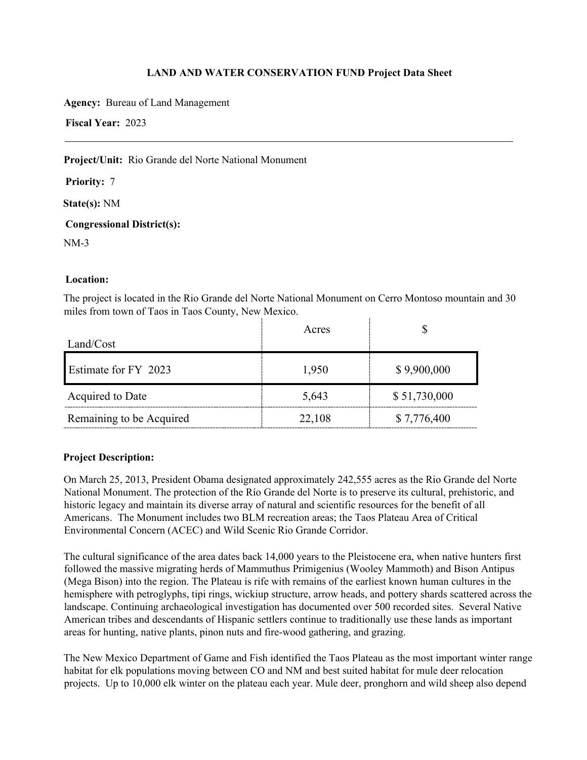**Agency:** Bureau of Land Management

**Fiscal Year:** 2023

**Project/Unit:** Rio Grande del Norte National Monument

**Priority:** 7

**State(s):** NM

**Congressional District(s):** 

NM-3

# **Location:**

The project is located in the Rio Grande del Norte National Monument on Cerro Montoso mountain and 30 miles from town of Taos in Taos County, New Mexico.

| Land/Cost                | Acres  |              |
|--------------------------|--------|--------------|
| Estimate for FY 2023     | 1,950  | \$9,900,000  |
| Acquired to Date         | 5,643  | \$51,730,000 |
| Remaining to be Acquired | 22,108 | \$7,776,400  |

### **Project Description:**

On March 25, 2013, President Obama designated approximately 242,555 acres as the Rio Grande del Norte National Monument. The protection of the Río Grande del Norte is to preserve its cultural, prehistoric, and historic legacy and maintain its diverse array of natural and scientific resources for the benefit of all Americans. The Monument includes two BLM recreation areas; the Taos Plateau Area of Critical Environmental Concern (ACEC) and Wild Scenic Rio Grande Corridor.

The cultural significance of the area dates back 14,000 years to the Pleistocene era, when native hunters first followed the massive migrating herds of Mammuthus Primigenius (Wooley Mammoth) and Bison Antipus (Mega Bison) into the region. The Plateau is rife with remains of the earliest known human cultures in the hemisphere with petroglyphs, tipi rings, wickiup structure, arrow heads, and pottery shards scattered across the landscape. Continuing archaeological investigation has documented over 500 recorded sites. Several Native American tribes and descendants of Hispanic settlers continue to traditionally use these lands as important areas for hunting, native plants, pinon nuts and fire-wood gathering, and grazing.

The New Mexico Department of Game and Fish identified the Taos Plateau as the most important winter range habitat for elk populations moving between CO and NM and best suited habitat for mule deer relocation projects. Up to 10,000 elk winter on the plateau each year. Mule deer, pronghorn and wild sheep also depend